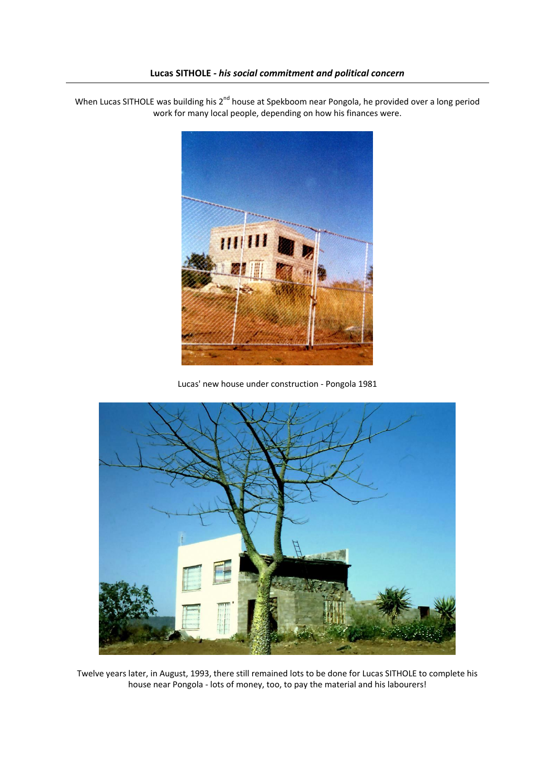## **Lucas SITHOLE** *- his social commitment and political concern*

When Lucas SITHOLE was building his 2<sup>nd</sup> house at Spekboom near Pongola, he provided over a long period work for many local people, depending on how his finances were.



Lucas' new house under construction - Pongola 1981



Twelve years later, in August, 1993, there still remained lots to be done for Lucas SITHOLE to complete his house near Pongola - lots of money, too, to pay the material and his labourers!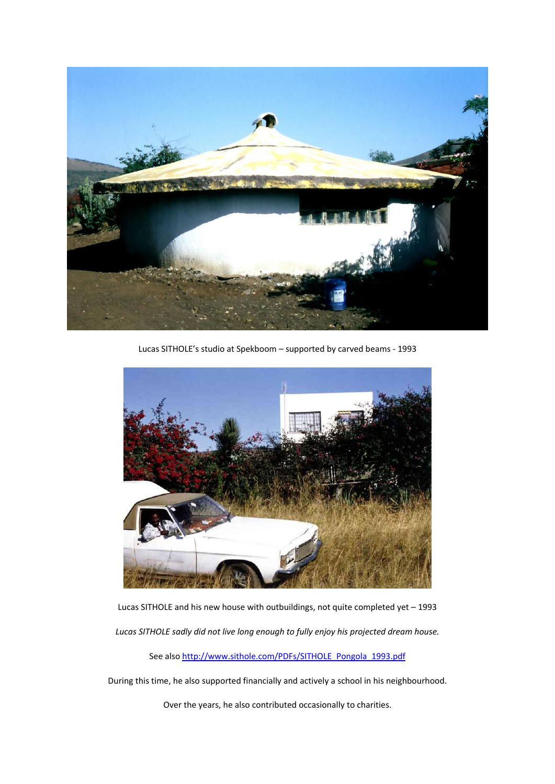

Lucas SITHOLE's studio at Spekboom – supported by carved beams - 1993



Lucas SITHOLE and his new house with outbuildings, not quite completed yet – 1993

*Lucas SITHOLE sadly did not live long enough to fully enjoy his projected dream house.* 

See als[o http://www.sithole.com/PDFs/SITHOLE\\_Pongola\\_1993.pdf](http://www.sithole.com/PDFs/SITHOLE_Pongola_1993.pdf)

During this time, he also supported financially and actively a school in his neighbourhood.

Over the years, he also contributed occasionally to charities.